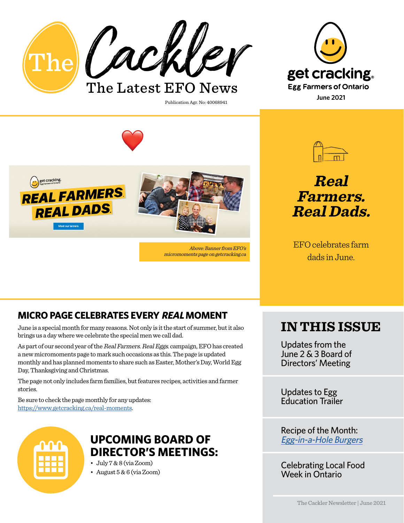







Above: Banner from EFO's micromoments page on getcracking.ca

Publication Agr. No: 40068941



**Real Farmers. Real Dads.**

EFO celebrates farm dads in June.

## **MICRO PAGE CELEBRATES EVERY REAL MOMENT**

June is a special month for many reasons. Not only is it the start of summer, but it also brings us a day where we celebrate the special men we call dad.

As part of our second year of the Real Farmers. Real Eggs. campaign, EFO has created a new micromoments page to mark such occasions as this. The page is updated monthly and has planned moments to share such as Easter, Mother's Day, World Egg Day, Thanksgiving and Christmas.

The page not only includes farm families, but features recipes, activities and farmer stories.

Be sure to check the page monthly for any updates: [https://www.getcracking.ca/real-moments.](https://www.getcracking.ca/real-moments)



## **UPCOMING BOARD OF DIRECTOR'S MEETINGS:**

• July 7 & 8 (via Zoom)

• August 5 & 6 (via Zoom)

## **IN THIS ISSUE**

Updates from the June 2 & 3 Board of Directors' Meeting

Updates to Egg Education Trailer

Recipe of the Month: [Egg-in-a-Hole Burgers](https://www.getcracking.ca/recipes/egg-hole-burgers)

Celebrating Local Food Week in Ontario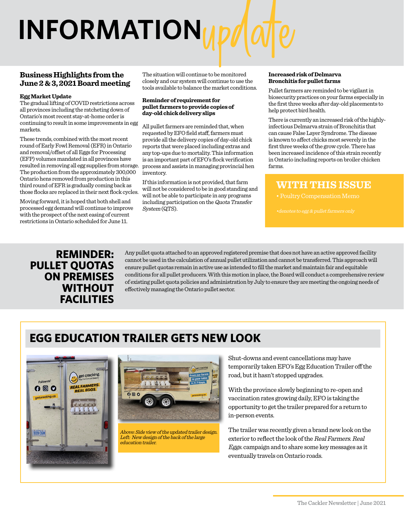## **INFORMATION**

#### **Business Highlights from the June 2 & 3, 2021 Board meeting**

#### **Egg Market Update**

The gradual lifting of COVID restrictions across all provinces including the ratcheting down of Ontario's most recent stay-at-home order is continuing to result in some improvements in egg markets.

These trends, combined with the most recent round of Early Fowl Removal (EFR) in Ontario and removal/offset of all Eggs for Processing (EFP) volumes mandated in all provinces have resulted in removing all egg supplies from storage. The production from the approximately 300,000 Ontario hens removed from production in this third round of EFR is gradually coming back as those flocks are replaced in their next flock cycles.

Moving forward, it is hoped that both shell and processed egg demand will continue to improve with the prospect of the next easing of current restrictions in Ontario scheduled for June 11.

The situation will continue to be monitored closely and our system will continue to use the tools available to balance the market conditions.

#### **Reminder of requirement for pullet farmers to provide copies of day-old chick delivery slips**

All pullet farmers are reminded that, when requested by EFO field staff, farmers must provide all the delivery copies of day-old chick reports that were placed including extras and any top-ups due to mortality. This information is an important part of EFO's flock verification process and assists in managing provincial hen inventory.

If this information is not provided, that farm will not be considered to be in good standing and will not be able to participate in any programs including participation on the Quota Transfer System (QTS).

#### **Increased risk of Delmarva Bronchitis for pullet farms**

Pullet farmers are reminded to be vigilant in biosecurity practices on your farms especially in the first three weeks after day-old placements to help protect bird health.

There is currently an increased risk of the highlyinfectious Delmarva strain of Bronchitis that can cause False Layer Syndrome. The disease is known to affect chicks most severely in the first three weeks of the grow cycle. There has been increased incidence of this strain recently in Ontario including reports on broiler chicken farms.

#### **WITH THIS ISSUE**

#### **REMINDER: PULLET QUOTAS ON PREMISES WITHOUT FACILITIES**

Any pullet quota attached to an approved registered premise that does not have an active approved facility cannot be used in the calculation of annual pullet utilization and cannot be transferred. This approach will ensure pullet quotas remain in active use as intended to fill the market and maintain fair and equitable conditions for all pullet producers. With this motion in place, the Board will conduct a comprehensive review of existing pullet quota policies and administration by July to ensure they are meeting the ongoing needs of effectively managing the Ontario pullet sector.

## **EGG EDUCATION TRAILER GETS NEW LOOK**





Above: Side view of the updated trailer design. Left: New design of the back of the large education trailer.

Shut-downs and event cancellations may have temporarily taken EFO's Egg Education Trailer off the road, but it hasn't stopped upgrades.

With the province slowly beginning to re-open and vaccination rates growing daily, EFO is taking the opportunity to get the trailer prepared for a return to in-person events.

The trailer was recently given a brand new look on the exterior to reflect the look of the Real Farmers. Real Eggs. campaign and to share some key messages as it eventually travels on Ontario roads.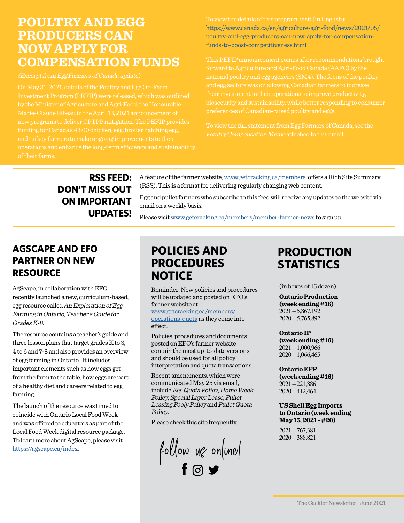## **POULTRY AND EGG PRODUCERS CAN NOW APPLY FOR COMPENSATION FUNDS**

(Excerpt from Egg Farmers of Canada update)

On May 31, 2021, details of the Poultry and Egg On-Farm Investment Program (PEFIP) were released, which was outlined by the Minister of Agriculture and Agri-Food, the Honourable Marie-Claude Bibeau in the April 13, 2021 announcement of new programs to deliver CPTPP mitigation. The PEFIP provides and turkey farmers to make ongoing improvements to their of their farms.

To view the details of this program, visit (in English): [https://www.canada.ca/en/agriculture-agri-food/news/2021/05/](https://www.canada.ca/en/agriculture-agri-food/news/2021/05/poultry-and-egg-producers-can-now-apply-) [poultry-and-egg-producers-can-now-apply-for-compensation](https://www.canada.ca/en/agriculture-agri-food/news/2021/05/poultry-and-egg-producers-can-now-apply-)[funds-to-boost-competitiveness.html](https://www.canada.ca/en/agriculture-agri-food/news/2021/05/poultry-and-egg-producers-can-now-apply-) 

forward to Agriculture and Agri-Food Canada (AAFC) by the and egg sectors was on allowing Canadian farmers to increase their investment in their operations to improve productivity, biosecurity and sustainability, while better responding to consumer

To view the full statement from Egg Farmers of Canada, see the

#### **RSS FEED: DON'T MISS OUT ON IMPORTANT UPDATES!**

A feature of the farmer website, [www.getcracking.ca/members](http://www.getcracking.ca/members), offers a Rich Site Summary (RSS). This is a format for delivering regularly changing web content.

Egg and pullet farmers who subscribe to this feed will receive any updates to the website via email on a weekly basis.

Please visit [www.getcracking.ca/members/member-farmer-news](http://www.getcracking.ca/members/member-farmer-news) to sign up.

#### **AGSCAPE AND EFO PARTNER ON NEW RESOURCE**

AgScape, in collaboration with EFO, recently launched a new, curriculum-based, egg resource called An Exploration of Egg Farming in Ontario, Teacher's Guide for Grades K-8.

The resource contains a teacher's guide and three lesson plans that target grades K to 3, 4 to 6 and 7-8 and also provides an overview of egg farming in Ontario. It includes important elements such as how eggs get from the farm to the table, how eggs are part of a healthy diet and careers related to egg farming.

The launch of the resource was timed to coincide with Ontario Local Food Week and was offered to educators as part of the Local Food Week digital resource package. To learn more about AgScape, please visit [https://agscape.ca/index.](https://agscape.ca/index)

## **POLICIES AND PROCEDURES NOTICE**

Reminder: New policies and procedures will be updated and posted on EFO's farmer website at

[www.getcracking.ca/members/](www.getcracking.ca/members/operations-quota) operations-quota as they come into effect.

Policies, procedures and documents posted on EFO's farmer website contain the most up-to-date versions and should be used for all policy interpretation and quota transactions.

Recent amendments, which were communicated May 25 via email, include Egg Quota Policy, Home Week Policy, Special Layer Lease, Pullet Leasing Pooly Policy and Pullet Quota Policy.

Please check this site frequently.

follow ug online!

## **PRODUCTION STATISTICS**

(in boxes of 15 dozen)

**Ontario Production (week ending #16)**  $2021 - 5,867,192$  $2020 - 5,765,892$ 

**Ontario IP (week ending #16)**  $2021 - 1,000,966$  $2020 - 1,066,465$ 

**Ontario EFP (week ending #16)** 2021 – 221,886 2020 – 412,464

#### **US Shell Egg Imports to Ontario (week ending May 15, 2021 - #20)**

2021 – 767,381 2020 – 388,821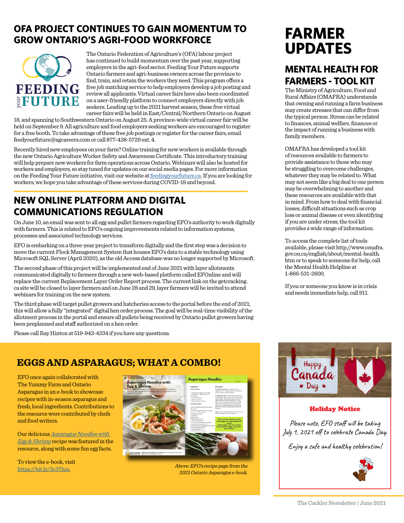#### **OFA PROJECT CONTINUES TO GAIN MOMENTUM TO GROW ONTARIO'S AGRI-FOOD WORKFORCE**



The Ontario Federation of Agriculture's (OFA) labour project has continued to build momentum over the past year, supporting employers in the agri-food sector. Feeding Your Future supports Ontario farmers and agri-business owners across the province to find, train, and retain the workers they need. This program offers a free job matching service to help employers develop a job posting and review all applicants. Virtual career fairs have also been coordinated on a user-friendly platform to connect employers directly with job seekers. Leading up to the 2021 harvest season, these free virtual career fairs will be held in East/Central/Northern Ontario on August

18, and spanning to Southwestern Ontario on August 25. A province-wide virtual career fair will be held on September 9. All agriculture and food employers seeking workers are encouraged to register for a free booth. To take advantage of these free job postings or register for the career fairs, email feedyourfuture@agcareers.com or call 877-438-5729 ext. 4.

Recently hired new employees on your farm? Online training for new workers is available through the new Ontario Agriculture Worker Safety and Awareness Certificate. This introductory training will help prepare new workers for farm operations across Ontario. Webinars will also be hosted for workers and employers, so stay tuned for updates on our social media pages. For more information on the Feeding Your Future initiative, visit our website at [feedingyourfuture.ca](http://feedingyourfuture.ca). If you are looking for workers, we hope you take advantage of these services during COVID-19 and beyond.

#### **NEW ONLINE PLATFORM AND DIGITAL COMMUNICATIONS REGULATION**

On June 10, an email was sent to all egg and pullet farmers regarding EFO's authority to work digitally with farmers. This is related to EFO's ongoing improvements related to information systems, processes and associated technology services.

EFO is embarking on a three-year project to transform digitally and the first step was a decision to move the current Flock Management System that houses EFO's data to a stable technology using Microsoft SQL Server (April 2020), as the old Access database was no longer supported by Microsoft.

The second phase of this project will be implemented end of June 2021 with layer allotments communicated digitally to farmers through a new web-based platform called EFOnline and will replace the current Replacement Layer Order Report process. The current link on the getcracking. ca site will be closed to layer farmers and on June 28 and 29, layer farmers will be invited to attend webinars for training on the new system.

The third phase will target pullet growers and hatcheries access to the portal before the end of 2021; this will allow a fully "integrated" digital hen order process. The goal will be real-time visibility of the allotment process in the portal and ensure all pullets being received by Ontario pullet growers having been preplanned and staff authorized on a hen order.

Please call Ray Hinton at 519-943-4334 if you have any questions.

## **FARMER UPDATES**

## **MENTAL HEALTH FOR FARMERS - TOOL KIT**

The Ministry of Agriculture, Food and Rural Affairs (OMAFRA) understands that owning and running a farm business may create stresses that can differ from the typical person. Stress can be related to finances, animal welfare, finances or the impact of running a business with family members.

OMAFRA has developed a tool kit of resources available to farmers to provide assistance to those who may be struggling to overcome challenges, whatever they may be related to. What may not seem like a big deal to one person may be overwhelming to another and these resources are available with that in mind. From how to deal with financial losses, difficult situations such as crop loss or animal disease or even identifying if you are under stress, the tool kit provides a wide range of information.

To access the complete list of tools [available, please visit http://www.omafra.](http://www.omafra.gov.on.ca/english/about/mental-health.htm) gov.on.ca/english/about/mental-health. htm or to speak to someone for help, call the Mental Health Helpline at 1-866-531-2600.

If you or someone you know is in crisis and needs immediate help, call 911.

#### **EGGS AND ASPARAGUS; WHAT A COMBO!**

EFO once again collaborated with The Yummy Farm and Ontario Asparagus in an e-book to showcase recipes with in-season asparagus and fresh, local ingredients. Contributions to the resource were contributed by chefs and food writers.

Our delicious **Asparagus Noodles with** [Egg & Shrimp](https://www.getcracking.ca/recipes/garlic-shrimp-and-asparagus-noodle-bowl) recipe was featured in the resource, along with some fun egg facts.

To view the e-book, visit <https://bit.ly/3c37lun>.



Above: EFO's recipe page from the 2021 Ontario Asparagus e-book.



#### Holiday Notice

Please note, EFO staff will be taking July 1, 2021 off to celebrate Canada Day.

Enjoy a safe and healthy celebration!

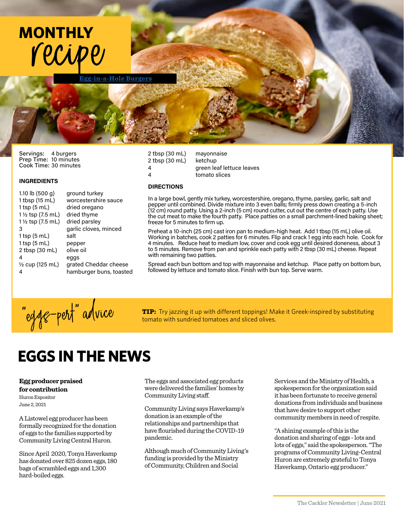

**[Egg-in-a-Hole Burgers](https://www.getcracking.ca/recipes/egg-hole-burgers)**

Servings: 4 burgers Prep Time: 10 minutes Cook Time: 30 minutes

#### INGREDIENTS

| 1.10 lb $(500 g)$          | ground turkey           |  |
|----------------------------|-------------------------|--|
| 1 tbsp (15 mL)             | worcestershire sauce    |  |
| $1$ tsp $(5$ mL)           | dried oregano           |  |
| 1 1/2 tsp (7.5 mL)         | dried thyme             |  |
| 1 ½ tsp (7.5 mL)           | dried parsley           |  |
| 3                          | garlic cloves, minced   |  |
| $1$ tsp $(5$ mL)           | salt                    |  |
| $1$ tsp $(5$ mL)           | pepper                  |  |
| 2 tbsp (30 mL)             | olive oil               |  |
| 4                          | eggs                    |  |
| $\frac{1}{2}$ cup (125 mL) | grated Cheddar cheese   |  |
| 4                          | hamburger buns, toasted |  |
|                            |                         |  |

#### 2 tbsp (30 mL) mayonnaise 2 tbsp (30 mL) ketchup 4 green leaf lettuce leaves 4 tomato slices

#### DIRECTIONS

In a large bowl, gently mix turkey, worcestershire, oregano, thyme, parsley, garlic, salt and pepper until combined. Divide mixture into 3 even balls; firmly press down creating a 5-inch (12 cm) round patty. Using a 2-inch (5 cm) round cutter, cut out the centre of each patty. Use the cut meat to make the fourth patty. Place patties on a small parchment-lined baking sheet; freeze for 5 minutes to firm up.

Preheat a 10-inch (25 cm) cast iron pan to medium-high heat. Add 1 tbsp (15 mL) olive oil. Working in batches, cook 2 patties for 6 minutes. Flip and crack 1 egg into each hole. Cook for 4 minutes. Reduce heat to medium low, cover and cook egg until desired doneness, about 3 to 5 minutes. Remove from pan and sprinkle each patty with 2 tbsp (30 mL) cheese. Repeat with remaining two patties.

Spread each bun bottom and top with mayonnaise and ketchup. Place patty on bottom bun, followed by lettuce and tomato slice. Finish with bun top. Serve warm.



**TIP:** Try jazzing it up with different toppings! Make it Greek-inspired by substituting tomato with sundried tomatoes and sliced olives.

## **EGGS IN THE NEWS**

**Egg producer praised for contribution** Huron Expositor June 2, 2021

A Listowel egg producer has been formally recognized for the donation of eggs to the families supported by Community Living Central Huron.

Since April 2020, Tonya Haverkamp has donated over 825 dozen eggs, 180 bags of scrambled eggs and 1,300 hard-boiled eggs.

The eggs and associated egg products were delivered the families' homes by Community Living staff.

Community Living says Haverkamp's donation is an example of the relationships and partnerships that have flourished during the COVID-19 pandemic.

Although much of Community Living's funding is provided by the Ministry of Community, Children and Social

Services and the Ministry of Health, a spokesperson for the organization said it has been fortunate to receive general donations from individuals and business that have desire to support other community members in need of respite.

"A shining example of this is the donation and sharing of eggs - lots and lots of eggs," said the spokesperson. "The programs of Community Living-Central Huron are extremely grateful to Tonya Haverkamp, Ontario egg producer."